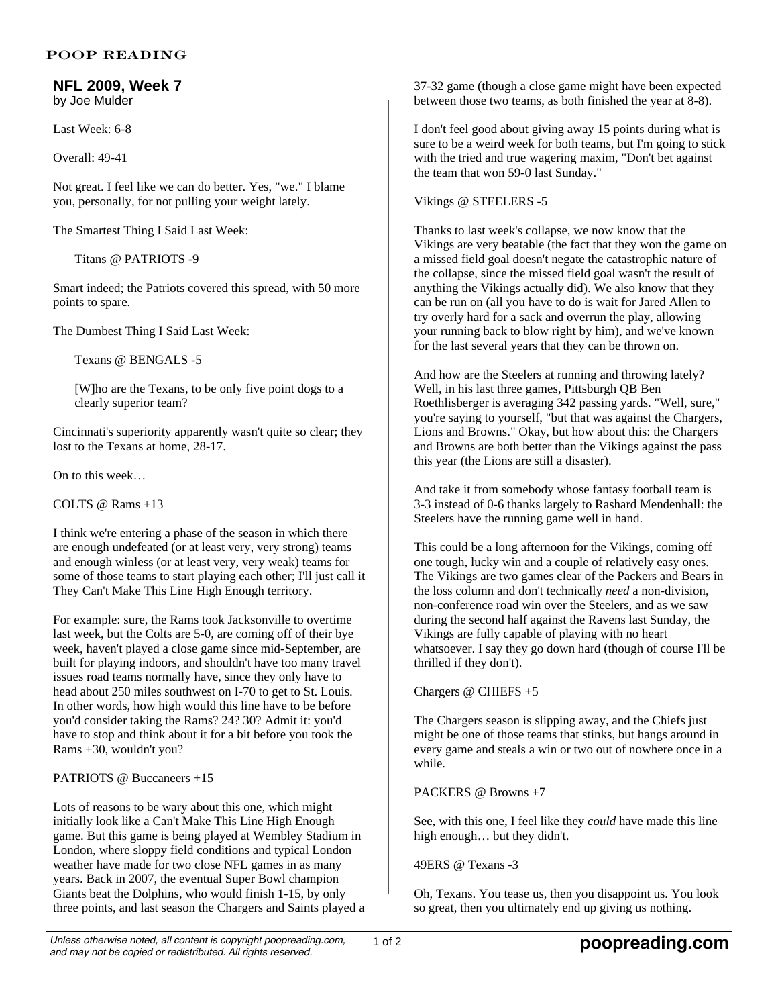## **NFL 2009, Week 7** by Joe Mulder

Last Week: 6-8

Overall: 49-41

Not great. I feel like we can do better. Yes, "we." I blame you, personally, for not pulling your weight lately.

The Smartest Thing I Said Last Week:

Titans @ PATRIOTS -9

Smart indeed; the Patriots covered this spread, with 50 more points to spare.

The Dumbest Thing I Said Last Week:

Texans @ BENGALS -5

[W]ho are the Texans, to be only five point dogs to a clearly superior team?

Cincinnati's superiority apparently wasn't quite so clear; they lost to the Texans at home, 28-17.

On to this week…

COLTS @ Rams +13

I think we're entering a phase of the season in which there are enough undefeated (or at least very, very strong) teams and enough winless (or at least very, very weak) teams for some of those teams to start playing each other; I'll just call it They Can't Make This Line High Enough territory.

For example: sure, the Rams took Jacksonville to overtime last week, but the Colts are 5-0, are coming off of their bye week, haven't played a close game since mid-September, are built for playing indoors, and shouldn't have too many travel issues road teams normally have, since they only have to head about 250 miles southwest on I-70 to get to St. Louis. In other words, how high would this line have to be before you'd consider taking the Rams? 24? 30? Admit it: you'd have to stop and think about it for a bit before you took the Rams +30, wouldn't you?

PATRIOTS @ Buccaneers +15

Lots of reasons to be wary about this one, which might initially look like a Can't Make This Line High Enough game. But this game is being played at Wembley Stadium in London, where sloppy field conditions and typical London weather have made for two close NFL games in as many years. Back in 2007, the eventual Super Bowl champion Giants beat the Dolphins, who would finish 1-15, by only three points, and last season the Chargers and Saints played a 37-32 game (though a close game might have been expected between those two teams, as both finished the year at 8-8).

I don't feel good about giving away 15 points during what is sure to be a weird week for both teams, but I'm going to stick with the tried and true wagering maxim, "Don't bet against the team that won 59-0 last Sunday."

Vikings @ STEELERS -5

Thanks to last week's collapse, we now know that the Vikings are very beatable (the fact that they won the game on a missed field goal doesn't negate the catastrophic nature of the collapse, since the missed field goal wasn't the result of anything the Vikings actually did). We also know that they can be run on (all you have to do is wait for Jared Allen to try overly hard for a sack and overrun the play, allowing your running back to blow right by him), and we've known for the last several years that they can be thrown on.

And how are the Steelers at running and throwing lately? Well, in his last three games, Pittsburgh QB Ben Roethlisberger is averaging 342 passing yards. "Well, sure," you're saying to yourself, "but that was against the Chargers, Lions and Browns." Okay, but how about this: the Chargers and Browns are both better than the Vikings against the pass this year (the Lions are still a disaster).

And take it from somebody whose fantasy football team is 3-3 instead of 0-6 thanks largely to Rashard Mendenhall: the Steelers have the running game well in hand.

This could be a long afternoon for the Vikings, coming off one tough, lucky win and a couple of relatively easy ones. The Vikings are two games clear of the Packers and Bears in the loss column and don't technically *need* a non-division, non-conference road win over the Steelers, and as we saw during the second half against the Ravens last Sunday, the Vikings are fully capable of playing with no heart whatsoever. I say they go down hard (though of course I'll be thrilled if they don't).

Chargers @ CHIEFS +5

The Chargers season is slipping away, and the Chiefs just might be one of those teams that stinks, but hangs around in every game and steals a win or two out of nowhere once in a while.

PACKERS @ Browns +7

See, with this one, I feel like they *could* have made this line high enough… but they didn't.

49ERS @ Texans -3

Oh, Texans. You tease us, then you disappoint us. You look so great, then you ultimately end up giving us nothing.